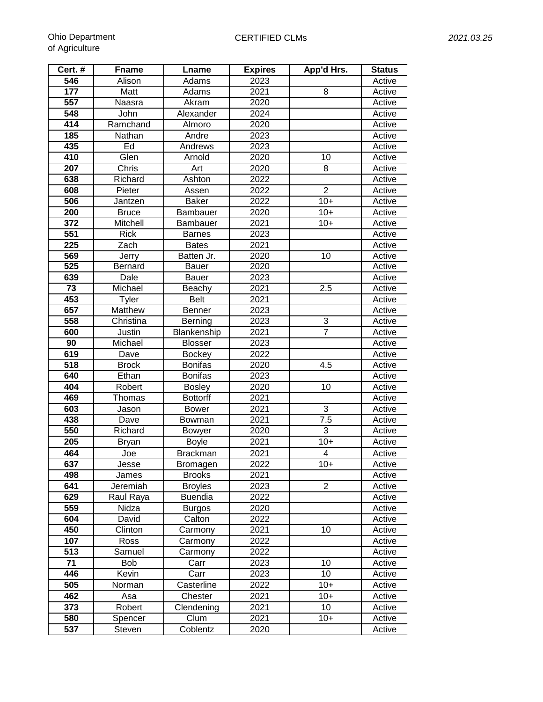| Cert. #          | <b>Fname</b>   | Lname           | <b>Expires</b>    | App'd Hrs.      | <b>Status</b> |
|------------------|----------------|-----------------|-------------------|-----------------|---------------|
| 546              | Alison         | Adams           | 2023              |                 | Active        |
| 177              | Matt           | Adams           | 2021              | 8               | Active        |
| 557              | Naasra         | Akram           | 2020              |                 | Active        |
| 548              | John           | Alexander       | 2024              |                 | Active        |
| 414              | Ramchand       | Almoro          | 2020              |                 | Active        |
| 185              | Nathan         | Andre           | 2023              |                 | Active        |
| 435              | Ed             | Andrews         | 2023              |                 | Active        |
| 410              | Glen           | Arnold          | 2020              | 10              | Active        |
| 207              | Chris          | Art             | 2020              | 8               | Active        |
| 638              | Richard        | Ashton          | 2022              |                 | Active        |
| 608              | Pieter         | Assen           | 2022              | $\overline{2}$  | Active        |
| 506              | Jantzen        | <b>Baker</b>    | 2022              | $10+$           | Active        |
| 200              | <b>Bruce</b>   | Bambauer        | 2020              | $10+$           | Active        |
| 372              | Mitchell       | Bambauer        | 2021              | $10+$           | Active        |
| 551              | <b>Rick</b>    | <b>Barnes</b>   | 2023              |                 | Active        |
| 225              | Zach           | <b>Bates</b>    | 2021              |                 | Active        |
| 569              | Jerry          | Batten Jr.      | 2020              | 10              | Active        |
| 525              | <b>Bernard</b> | <b>Bauer</b>    | 2020              |                 | Active        |
| 639              | Dale           | <b>Bauer</b>    | 2023              |                 | Active        |
| 73               | Michael        | Beachy          | 2021              | 2.5             | Active        |
| 453              | Tyler          | <b>Belt</b>     | 2021              |                 | Active        |
| 657              | Matthew        | Benner          | 2023              |                 | Active        |
| 558              | Christina      | Berning         | 2023              | 3               | Active        |
| 600              | Justin         | Blankenship     | 2021              | $\overline{7}$  | Active        |
| 90               | Michael        | <b>Blosser</b>  | 2023              |                 | Active        |
| 619              | Dave           | <b>Bockey</b>   | 2022              |                 | Active        |
| 518              | <b>Brock</b>   | <b>Bonifas</b>  | 2020              | 4.5             | Active        |
| 640              | Ethan          | <b>Bonifas</b>  | 2023              |                 | Active        |
| 404              | Robert         | <b>Bosley</b>   | 2020              | 10              | Active        |
| 469              | Thomas         | <b>Bottorff</b> | 2021              |                 | Active        |
| 603              | Jason          | <b>Bower</b>    | 2021              | 3               | Active        |
| 438              | Dave           | Bowman          | 2021              | 7.5             | Active        |
| 550              | Richard        | <b>Bowyer</b>   | 2020              | 3               | Active        |
| 205              | <b>Bryan</b>   | <b>Boyle</b>    | 2021              | $10+$           | Active        |
| 464              | Joe            | <b>Brackman</b> | 2021              | 4               | Active        |
| 637              | Jesse          | Bromagen        | 2022              | $10+$           | Active        |
| 498              | James          | <b>Brooks</b>   | 2021              |                 | Active        |
| 641              | Jeremiah       | <b>Broyles</b>  | 2023              | $\overline{2}$  | Active        |
| 629              | Raul Raya      | <b>Buendia</b>  | 2022              |                 | Active        |
| 559              | Nidza          | <b>Burgos</b>   | 2020              |                 | Active        |
| 604              | David          | Calton          | $202\overline{2}$ |                 | Active        |
| 450              | Clinton        | Carmony         | 2021              | 10              | Active        |
| 107              | Ross           | Carmony         | 2022              |                 | Active        |
| 513              | Samuel         | Carmony         | 2022              |                 | Active        |
| 71               | Bob            | Carr            | 2023              | 10              | Active        |
| $\overline{446}$ | Kevin          | Carr            | 2023              | $\overline{10}$ | Active        |
| 505              | Norman         | Casterline      | 2022              | $10+$           | Active        |
| 462              | Asa            | Chester         | 2021              | $10+$           | Active        |
| 373              | Robert         | Clendening      | 2021              | $\overline{10}$ | Active        |
| 580              | Spencer        | Clum            | 2021              | $10+$           | Active        |
| 537              | Steven         | Coblentz        | 2020              |                 | Active        |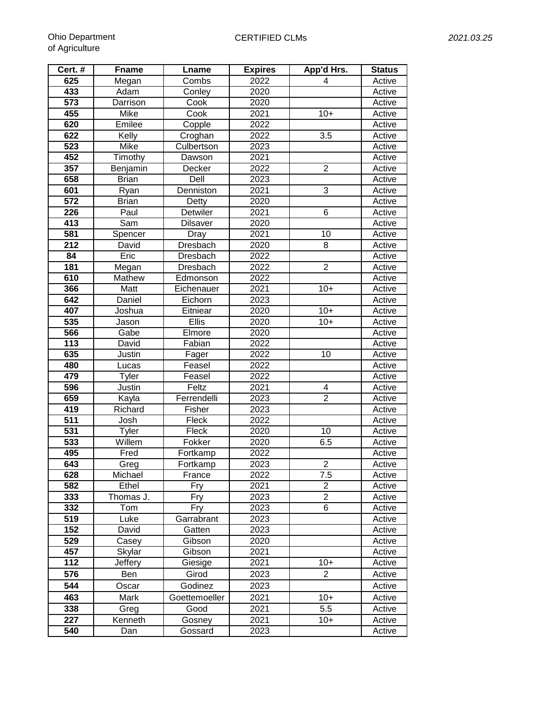**Cert. # Fname Lname**<br> **Expires Expires Adam Conley**<br> **Conley** 

| griculture |                                 |            |                |            |                             |  |  |
|------------|---------------------------------|------------|----------------|------------|-----------------------------|--|--|
| ert. #     | <b>Fname</b>                    | Lname      | <b>Expires</b> | App'd Hrs. | <b>Status</b>               |  |  |
| 625        | Megan                           | Combs      | 2022           |            | Active                      |  |  |
| 433        | Adam                            | Conley     | 2020           |            | Active                      |  |  |
| 573        | Darrison                        | Cook       | 2020           |            | Active                      |  |  |
| 455        | Mike                            | Cook       | 2021           | $10+$      | Active                      |  |  |
| 620        | Emilee                          | Copple     | 2022           |            | Active                      |  |  |
| 622        | Kelly                           | Croghan    | 2022           | 3.5        | Active                      |  |  |
| 523        | Mike                            | Culbertson | 2023           |            | Active                      |  |  |
| 452        | Timothy                         | Dawson     | 2021           |            | Active                      |  |  |
| $\sim$ $-$ | The contract of the contract of | <b>B</b>   | 0.000          | $\sim$     | $\mathbf{A}$ . $\mathbf{A}$ |  |  |

| 573              | Darrison     | Cook            | 2020 |                  | Active |
|------------------|--------------|-----------------|------|------------------|--------|
| 455              | Mike         | Cook            | 2021 | $10+$            | Active |
| 620              | Emilee       | Copple          | 2022 |                  | Active |
| 622              | Kelly        | Croghan         | 2022 | 3.5              | Active |
| 523              | Mike         | Culbertson      | 2023 |                  | Active |
| 452              | Timothy      | Dawson          | 2021 |                  | Active |
| 357              | Benjamin     | Decker          | 2022 | $\overline{c}$   | Active |
| 658              | <b>Brian</b> | Dell            | 2023 |                  | Active |
| 601              | Ryan         | Denniston       | 2021 | $\overline{3}$   | Active |
| 572              | <b>Brian</b> | Detty           | 2020 |                  | Active |
| 226              | Paul         | Detwiler        | 2021 | 6                | Active |
| 413              | Sam          | <b>Dilsaver</b> | 2020 |                  | Active |
| 581              | Spencer      | Dray            | 2021 | 10               | Active |
| 212              | David        | Dresbach        | 2020 | 8                | Active |
| 84               | Eric         | Dresbach        | 2022 |                  | Active |
| 181              | Megan        | Dresbach        | 2022 | $\overline{2}$   | Active |
| 610              | Mathew       | Edmonson        | 2022 |                  | Active |
| 366              | Matt         | Eichenauer      | 2021 | $10+$            | Active |
| 642              | Daniel       | Eichorn         | 2023 |                  | Active |
| 407              | Joshua       | Eitniear        | 2020 | $10+$            | Active |
| 535              | Jason        | $EII$ is        | 2020 | $10+$            | Active |
| 566              | Gabe         | Elmore          | 2020 |                  | Active |
| $\overline{113}$ | David        | Fabian          | 2022 |                  | Active |
| 635              | Justin       | Fager           | 2022 | 10               | Active |
| 480              | Lucas        | Feasel          | 2022 |                  | Active |
| 479              | Tyler        | Feasel          | 2022 |                  | Active |
| 596              | Justin       | Feltz           | 2021 | 4                | Active |
| 659              | Kayla        | Ferrendelli     | 2023 | $\overline{2}$   | Active |
| 419              | Richard      | Fisher          | 2023 |                  | Active |
| 511              | Josh         | Fleck           | 2022 |                  | Active |
| 531              | Tyler        | Fleck           | 2020 | $\overline{10}$  | Active |
| 533              | Willem       | Fokker          | 2020 | 6.5              | Active |
| 495              | Fred         | Fortkamp        | 2022 |                  | Active |
| 643              | Greg         | Fortkamp        | 2023 | $\overline{2}$   | Active |
| 628              | Michael      | France          | 2022 | $\overline{7.5}$ | Active |
| 582              | Ethel        | Fry             | 2021 | $\overline{2}$   | Active |
| $\overline{333}$ | Thomas J.    | Fry             | 2023 | $\overline{2}$   | Active |
| 332              | Tom          | Fry             | 2023 | 6                | Active |
| 519              | Luke         | Garrabrant      | 2023 |                  | Active |
| 152              | David        | Gatten          | 2023 |                  | Active |
| 529              | Casey        | Gibson          | 2020 |                  | Active |
| 457              | Skylar       | Gibson          | 2021 |                  | Active |
| 112              | Jeffery      | Giesige         | 2021 | $10+$            | Active |
| 576              | Ben          | Girod           | 2023 | $\overline{2}$   | Active |
| 544              | Oscar        | Godinez         | 2023 |                  | Active |
| 463              | Mark         | Goettemoeller   | 2021 | $10+$            | Active |
| 338              | Greg         | Good            | 2021 | 5.5              | Active |
| 227              | Kenneth      | Gosney          | 2021 | $10+$            | Active |
| 540              | Dan          | Gossard         | 2023 |                  | Active |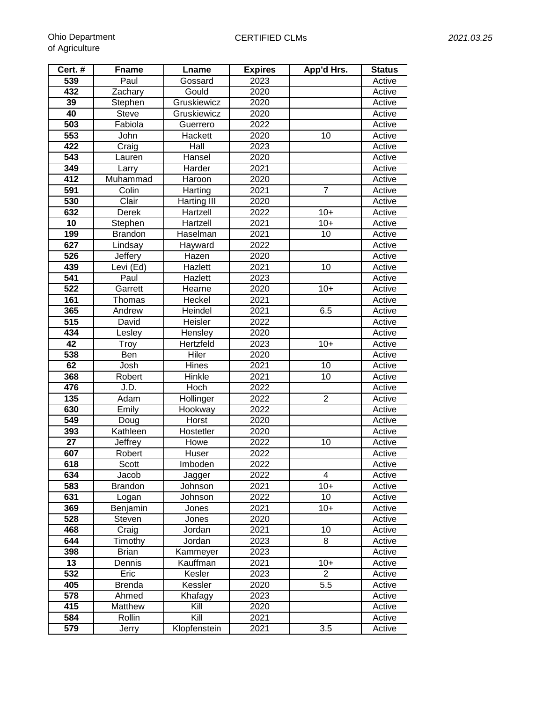| Cert. #          | <b>Fname</b>   | Lname        | <b>Expires</b> | App'd Hrs.      | <b>Status</b> |
|------------------|----------------|--------------|----------------|-----------------|---------------|
| 539              | Paul           | Gossard      | 2023           |                 | Active        |
| 432              | Zachary        | Gould        | 2020           |                 | Active        |
| 39               | Stephen        | Gruskiewicz  | 2020           |                 | Active        |
| 40               | <b>Steve</b>   | Gruskiewicz  | 2020           |                 | Active        |
| 503              | Fabiola        | Guerrero     | 2022           |                 | Active        |
| 553              | John           | Hackett      | 2020           | 10              | Active        |
| 422              | Craig          | Hall         | 2023           |                 | Active        |
| 543              | Lauren         | Hansel       | 2020           |                 | Active        |
| 349              | Larry          | Harder       | 2021           |                 | Active        |
| 412              | Muhammad       | Haroon       | 2020           |                 | Active        |
| 591              | Colin          | Harting      | 2021           | $\overline{7}$  | Active        |
| 530              | Clair          | Harting III  | 2020           |                 | Active        |
| 632              | Derek          | Hartzell     | 2022           | $10+$           | Active        |
| 10               | Stephen        | Hartzell     | 2021           | $10+$           | Active        |
| 199              | <b>Brandon</b> | Haselman     | 2021           | 10              | Active        |
| 627              | Lindsay        | Hayward      | 2022           |                 | Active        |
| 526              | Jeffery        | Hazen        | 2020           |                 | Active        |
| 439              | Levi (Ed)      | Hazlett      | 2021           | 10              | Active        |
| 541              | Paul           | Hazlett      | 2023           |                 | Active        |
| 522              | Garrett        | Hearne       | 2020           | $10+$           | Active        |
| 161              | Thomas         | Heckel       | 2021           |                 | Active        |
| 365              | Andrew         | Heindel      | 2021           | 6.5             | Active        |
| $\overline{515}$ | David          | Heisler      | 2022           |                 | Active        |
| 434              | Lesley         | Hensley      | 2020           |                 | Active        |
| $\overline{42}$  | Troy           | Hertzfeld    | 2023           | $10+$           | Active        |
| 538              | Ben            | Hiler        | 2020           |                 | Active        |
| 62               | Josh           | Hines        | 2021           | $\overline{10}$ | Active        |
| 368              | Robert         | Hinkle       | 2021           | 10              | Active        |
| 476              | J.D.           | Hoch         | 2022           |                 | Active        |
| 135              | Adam           | Hollinger    | 2022           | $\overline{2}$  | Active        |
| 630              | Emily          | Hookway      | 2022           |                 | Active        |
| 549              | Doug           | Horst        | 2020           |                 | Active        |
| 393              | Kathleen       | Hostetler    | 2020           |                 | Active        |
| 27               | Jeffrey        | Howe         | 2022           | 10              | Active        |
| 607              | Robert         | Huser        | 2022           |                 | Active        |
| 618              | Scott          | Imboden      | 2022           |                 | Active        |
| 634              | Jacob          | Jagger       | 2022           | 4               | Active        |
| 583              | <b>Brandon</b> | Johnson      | 2021           | $10+$           | Active        |
| 631              | Logan          | Johnson      | 2022           | 10              | Active        |
| 369              | Benjamin       | Jones        | 2021           | $10+$           | Active        |
| 528              | Steven         | Jones        | 2020           |                 | Active        |
| 468              | Craig          | Jordan       | 2021           | 10              | Active        |
| 644              | Timothy        | Jordan       | 2023           | 8               | Active        |
| 398              | <b>Brian</b>   | Kammeyer     | 2023           |                 | Active        |
| 13               | Dennis         | Kauffman     | 2021           | $10+$           | Active        |
| 532              | Eric           | Kesler       | 2023           | $\overline{2}$  | Active        |
| 405              | <b>Brenda</b>  | Kessler      | 2020           | 5.5             | Active        |
| 578              | Ahmed          | Khafagy      | 2023           |                 | Active        |
| 415              | Matthew        | Kill         | 2020           |                 | Active        |
| 584              | Rollin         | Kill         | 2021           |                 | Active        |
| 579              | Jerry          | Klopfenstein | 2021           | 3.5             | Active        |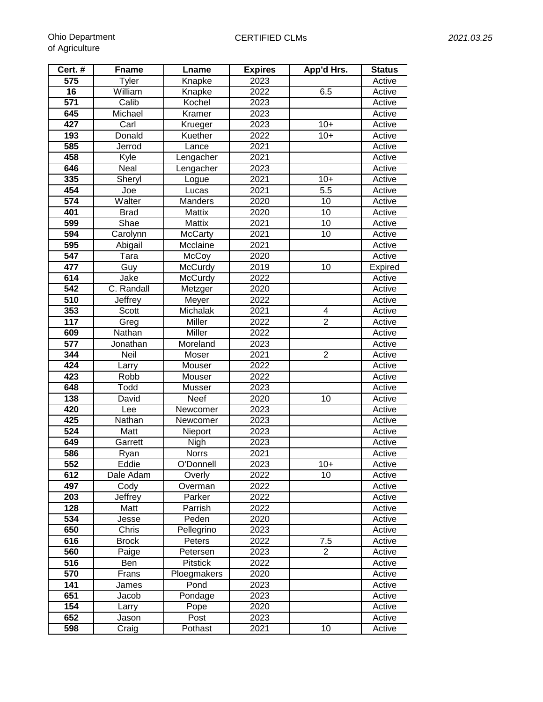| Cert. #          | <b>Fname</b> | Lname           | <b>Expires</b> | App'd Hrs.       | <b>Status</b>  |
|------------------|--------------|-----------------|----------------|------------------|----------------|
| 575              | <b>Tyler</b> | Knapke          | 2023           |                  | Active         |
| 16               | William      | Knapke          | 2022           | 6.5              | Active         |
| 571              | Calib        | Kochel          | 2023           |                  | Active         |
| 645              | Michael      | Kramer          | 2023           |                  | Active         |
| 427              | Carl         | Krueger         | 2023           | $10+$            | Active         |
| 193              | Donald       | Kuether         | 2022           | $10+$            | Active         |
| 585              | Jerrod       | Lance           | 2021           |                  | Active         |
| 458              | Kyle         | Lengacher       | 2021           |                  | Active         |
| 646              | Neal         | Lengacher       | 2023           |                  | Active         |
| 335              | Sheryl       | Logue           | 2021           | $10+$            | Active         |
| 454              | Joe          | Lucas           | 2021           | $\overline{5.5}$ | Active         |
| 574              | Walter       | Manders         | 2020           | 10               | Active         |
| 401              | <b>Brad</b>  | Mattix          | 2020           | 10               | Active         |
| 599              | Shae         | Mattix          | 2021           | 10               | Active         |
| 594              | Carolynn     | <b>McCarty</b>  | 2021           | 10               | Active         |
| 595              | Abigail      | Mcclaine        | 2021           |                  | Active         |
| 547              | Tara         | McCoy           | 2020           |                  | Active         |
| 477              | Guy          | McCurdy         | 2019           | 10               | <b>Expired</b> |
| 614              | Jake         | McCurdy         | 2022           |                  | Active         |
| 542              | C. Randall   | Metzger         | 2020           |                  | Active         |
| 510              | Jeffrey      | Meyer           | 2022           |                  | Active         |
| 353              | Scott        | Michalak        | 2021           | 4                | Active         |
| $\overline{117}$ | Greg         | Miller          | 2022           | $\overline{2}$   | Active         |
| 609              | Nathan       | Miller          | 2022           |                  | Active         |
| $\overline{577}$ | Jonathan     | Moreland        | 2023           |                  | Active         |
| 344              | Neil         | Moser           | 2021           | $\overline{2}$   | Active         |
| 424              | Larry        | Mouser          | 2022           |                  | Active         |
| 423              | Robb         | Mouser          | 2022           |                  | Active         |
| 648              | Todd         | Musser          | 2023           |                  | Active         |
| 138              | David        | Neef            | 2020           | 10               | Active         |
| 420              | Lee          | Newcomer        | 2023           |                  | Active         |
| 425              | Nathan       | Newcomer        | 2023           |                  | Active         |
| 524              | Matt         | Nieport         | 2023           |                  | Active         |
| 649              | Garrett      | Nigh            | 2023           |                  | Active         |
| 586              | Ryan         | <b>Norrs</b>    | 2021           |                  | Active         |
| 552              | Eddie        | O'Donnell       | 2023           | $10+$            | Active         |
| 612              | Dale Adam    | Overly          | 2022           | 10               | Active         |
| 497              | Cody         | Overman         | 2022           |                  | Active         |
| 203              | Jeffrey      | Parker          | 2022           |                  | Active         |
| 128              | Matt         | Parrish         | 2022           |                  | Active         |
| 534              | Jesse        | Peden           | 2020           |                  | Active         |
| 650              | Chris        | Pellegrino      | 2023           |                  | Active         |
| 616              | <b>Brock</b> | Peters          | 2022           | 7.5              | Active         |
| 560              | Paige        | Petersen        | 2023           | $\overline{2}$   | Active         |
| 516              | Ben          | <b>Pitstick</b> | 2022           |                  | Active         |
| 570              | Frans        | Ploegmakers     | 2020           |                  | Active         |
| 141              | James        | Pond            | 2023           |                  | Active         |
| 651              | Jacob        | Pondage         | 2023           |                  | Active         |
| 154              | Larry        | Pope            | 2020           |                  | Active         |
| 652              | Jason        | Post            | 2023           |                  | Active         |
| 598              | Craig        | Pothast         | 2021           | 10               | Active         |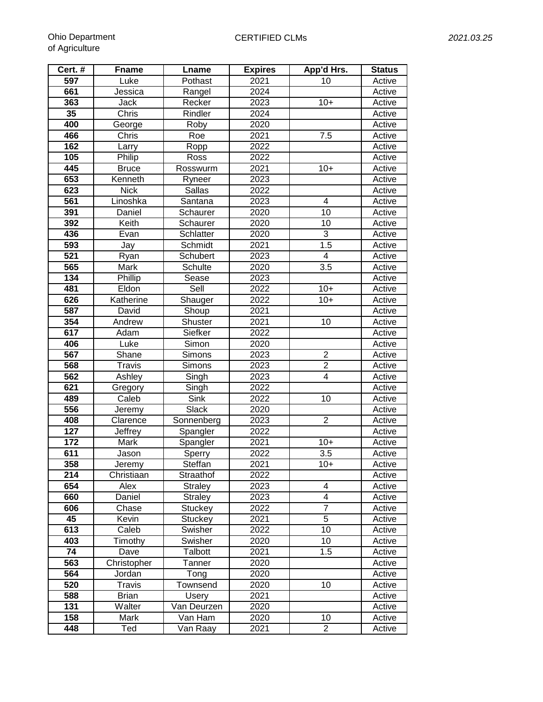| Cert.#           | <b>Fname</b>   | Lname                       | <b>Expires</b> | App'd Hrs.      | <b>Status</b> |
|------------------|----------------|-----------------------------|----------------|-----------------|---------------|
| 597              | Luke           | Pothast                     | 2021           | 10              | Active        |
| 661              | Jessica        | Rangel                      | 2024           |                 | Active        |
| 363              | Jack           | Recker                      | 2023           | $10+$           | Active        |
| 35               | Chris          | Rindler                     | 2024           |                 | Active        |
| 400              | George         | Roby                        | 2020           |                 | Active        |
| 466              | Chris          | Roe                         | 2021           | 7.5             | Active        |
| 162              | Larry          | Ropp                        | 2022           |                 | Active        |
| 105              | Philip         | Ross                        | 2022           |                 | Active        |
| 445              | <b>Bruce</b>   | Rosswurm                    | 2021           | $10+$           | Active        |
| 653              | Kenneth        | Ryneer                      | 2023           |                 | Active        |
| 623              | <b>Nick</b>    | Sallas                      | 2022           |                 | Active        |
| 561              | Linoshka       | Santana                     | 2023           | 4               | Active        |
| 391              | Daniel         | Schaurer                    | 2020           | $\overline{10}$ | Active        |
| 392              | Keith          | Schaurer                    | 2020           | 10              | Active        |
| 436              | Evan           | Schlatter                   | 2020           | 3               | Active        |
| 593              | Jay            | Schmidt                     | 2021           | 1.5             | Active        |
| 521              | Ryan           | Schubert                    | 2023           | 4               | Active        |
| 565              | Mark           | Schulte                     | 2020           | 3.5             | Active        |
| 134              | Phillip        | Sease                       | 2023           |                 | Active        |
| 481              | Eldon          | Sell                        | 2022           | $10+$           | Active        |
| 626              | Katherine      | Shauger                     | 2022           | $10+$           | Active        |
| 587              | David          | Shoup                       | 2021           |                 | Active        |
| 354              | Andrew         | Shuster                     | 2021           | $\overline{10}$ | Active        |
| 617              | Adam           | Siefker                     | 2022           |                 | Active        |
| 406              | Luke           | Simon                       | 2020           |                 | Active        |
| 567              | Shane          | <b>Simons</b>               | 2023           | $\overline{2}$  | Active        |
| 568              | <b>Travis</b>  | Simons                      | 2023           | $\overline{2}$  | Active        |
| 562              | Ashley         | Singh                       | 2023           | 4               | Active        |
| $\overline{621}$ | Gregory        | Singh                       | 2022           |                 | Active        |
| 489              | Caleb          | Sink                        | 2022           | 10              | Active        |
| 556              | Jeremy         | Slack                       | 2020           |                 | Active        |
| 408              | Clarence       | Sonnenberg                  | 2023           | $\overline{2}$  | Active        |
| $\overline{1}27$ | Jeffrey        | Spangler                    | 2022           |                 | Active        |
| 172              | Mark           | Spangler                    | 2021           | $10+$           | Active        |
| 611              | Jason          | Sperry                      | 2022           | 3.5             | Active        |
| 358              | Jeremy         | Steffan                     | 2021           | $10+$           | Active        |
| 214              | Christiaan     | Straathof                   | 2022           |                 | Active        |
| 654              | Alex           | <b>Straley</b>              | 2023           | 4               | Active        |
| 660              | Daniel         | <b>Straley</b>              | 2023           | 4               | Active        |
| 606              | Chase          | Stuckey                     | 2022           | $\overline{7}$  | Active        |
| 45               | Kevin          | Stuckey                     | 2021           | $\overline{5}$  | Active        |
| 613              | Caleb          | Swisher                     | 2022           | 10              | Active        |
| 403              | Timothy        | Swisher                     | 2020           | 10              | Active        |
| 74               | Dave           | Talbott                     | 2021           | 1.5             | Active        |
| 563<br>564       | Christopher    | Tanner                      | 2020           |                 | Active        |
|                  | Jordan         | Tong                        | 2020           |                 | Active        |
| 520              | <b>Travis</b>  | Townsend                    | 2020           | 10              | Active        |
| 588              | <b>Brian</b>   | <b>Usery</b><br>Van Deurzen | 2021           |                 | Active        |
| 131<br>158       | Walter<br>Mark |                             | 2020           | 10              | Active        |
|                  |                | Van Ham                     | 2020           |                 | Active        |
| 448              | Ted            | Van Raay                    | 2021           | $\overline{2}$  | Active        |